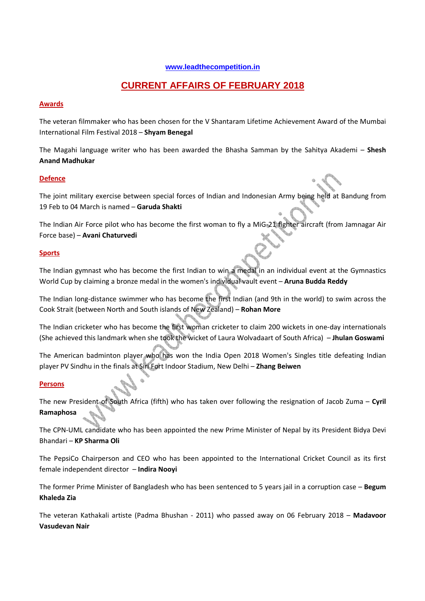#### **www.leadthecompetition.in**

# **CURRENT AFFAIRS OF FEBRUARY 2018**

#### **Awards**

The veteran filmmaker who has been chosen for the V Shantaram Lifetime Achievement Award of the Mumbai International Film Festival 2018 – **Shyam Benegal**

The Magahi language writer who has been awarded the Bhasha Samman by the Sahitya Akademi – **Shesh Anand Madhukar**

#### **Defence**

The joint military exercise between special forces of Indian and Indonesian Army being held at Bandung from 19 Feb to 04 March is named – **Garuda Shakti** 

The Indian Air Force pilot who has become the first woman to fly a MiG-21 fighter aircraft (from Jamnagar Air Force base) – **Avani Chaturvedi**

#### **Sports**

The Indian gymnast who has become the first Indian to win a medal in an individual event at the Gymnastics World Cup by claiming a bronze medal in the women's individual vault event – **Aruna Budda Reddy**

The Indian long-distance swimmer who has become the first Indian (and 9th in the world) to swim across the Cook Strait (between North and South islands of New Zealand) – **Rohan More**

The Indian cricketer who has become the first woman cricketer to claim 200 wickets in one-day internationals (She achieved this landmark when she took the wicket of Laura Wolvadaart of South Africa) – **Jhulan Goswami** 

The American badminton player who has won the India Open 2018 Women's Singles title defeating Indian player PV Sindhu in the finals at Siri Fort Indoor Stadium, New Delhi – **Zhang Beiwen**

#### **Persons**

The new President of South Africa (fifth) who has taken over following the resignation of Jacob Zuma – **Cyril Ramaphosa**

The CPN-UML candidate who has been appointed the new Prime Minister of Nepal by its President Bidya Devi Bhandari – **KP Sharma Oli** 

The PepsiCo Chairperson and CEO who has been appointed to the International Cricket Council as its first female independent director – **Indira Nooyi**

The former Prime Minister of Bangladesh who has been sentenced to 5 years jail in a corruption case – **Begum Khaleda Zia** 

The veteran Kathakali artiste (Padma Bhushan - 2011) who passed away on 06 February 2018 – **Madavoor Vasudevan Nair**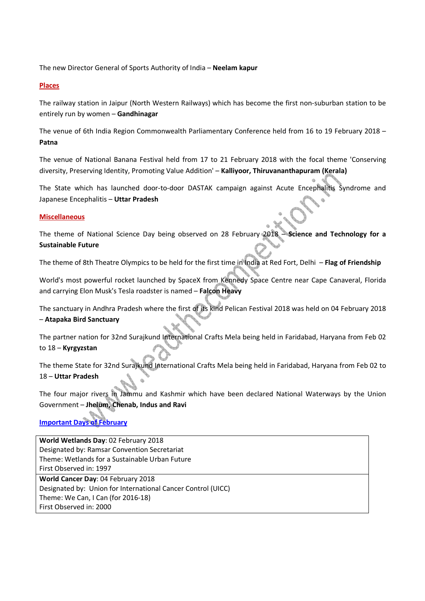The new Director General of Sports Authority of India – **Neelam kapur**

## **Places**

The railway station in Jaipur (North Western Railways) which has become the first non-suburban station to be entirely run by women – **Gandhinagar**

The venue of 6th India Region Commonwealth Parliamentary Conference held from 16 to 19 February 2018 – **Patna**

The venue of National Banana Festival held from 17 to 21 February 2018 with the focal theme 'Conserving diversity, Preserving Identity, Promoting Value Addition' – **Kalliyoor, Thiruvananthapuram (Kerala)**

The State which has launched door-to-door DASTAK campaign against Acute Encephalitis Syndrome and Japanese Encephalitis – **Uttar Pradesh**

## **Miscellaneous**

The theme of National Science Day being observed on 28 February 2018 – **Science and Technology for a Sustainable Future** 

The theme of 8th Theatre Olympics to be held for the first time in India at Red Fort, Delhi – **Flag of Friendship**

World's most powerful rocket launched by SpaceX from Kennedy Space Centre near Cape Canaveral, Florida and carrying Elon Musk's Tesla roadster is named – **Falcon Heavy**

The sanctuary in Andhra Pradesh where the first of its kind Pelican Festival 2018 was held on 04 February 2018 – **Atapaka Bird Sanctuary**

The partner nation for 32nd Surajkund International Crafts Mela being held in Faridabad, Haryana from Feb 02 to 18 – **Kyrgyzstan** 

The theme State for 32nd Surajkund International Crafts Mela being held in Faridabad, Haryana from Feb 02 to 18 – **Uttar Pradesh** 

The four major rivers in Jammu and Kashmir which have been declared National Waterways by the Union Government – **Jhelum, Chenab, Indus and Ravi** 

**Important Days of February**

**World Wetlands Day**: 02 February 2018 Designated by: Ramsar Convention Secretariat Theme: Wetlands for a Sustainable Urban Future First Observed in: 1997 **World Cancer Day**: 04 February 2018 Designated by: Union for International Cancer Control (UICC) Theme: We Can, I Can (for 2016-18) First Observed in: 2000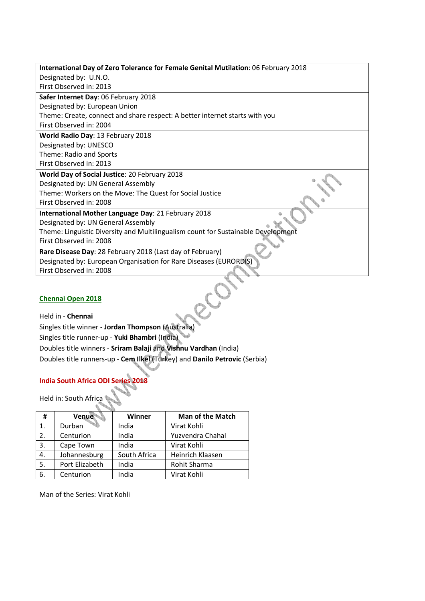| International Day of Zero Tolerance for Female Genital Mutilation: 06 February 2018 |
|-------------------------------------------------------------------------------------|
| Designated by: U.N.O.                                                               |
| First Observed in: 2013                                                             |
| Safer Internet Day: 06 February 2018                                                |
| Designated by: European Union                                                       |
| Theme: Create, connect and share respect: A better internet starts with you         |
| First Observed in: 2004                                                             |
| World Radio Day: 13 February 2018                                                   |
| Designated by: UNESCO                                                               |
| Theme: Radio and Sports                                                             |
| First Observed in: 2013                                                             |
| World Day of Social Justice: 20 February 2018                                       |
| Designated by: UN General Assembly                                                  |
| Theme: Workers on the Move: The Quest for Social Justice                            |
| First Observed in: 2008                                                             |
| International Mother Language Day: 21 February 2018                                 |
| Designated by: UN General Assembly                                                  |
| Theme: Linguistic Diversity and Multilingualism count for Sustainable Development   |
| First Observed in: 2008                                                             |
| Rare Disease Day: 28 February 2018 (Last day of February)                           |
| Designated by: European Organisation for Rare Diseases (EURORDIS)                   |
| First Observed in: 2008                                                             |
|                                                                                     |

## **Chennai Open 2018**

Held in - **Chennai** Euennai Open 2018<br>Held in - Chennai<br>Singles title winner - Jordan Thompson (Australia) Singles title runner-up - **Yuki Bhambri** (India) Doubles title winners - **Sriram Balaji** and **Vishnu Vardhan** (India) Doubles title runners-up - **Cem Ilkel** (Turkey) and **Danilo Petrovic** (Serbia)

## **India South Africa ODI Series 2018**

Held in: South Africa

| Ħ  | Venue          | Winner       | Man of the Match |
|----|----------------|--------------|------------------|
| 1. | Durban         | India        | Virat Kohli      |
| 2. | Centurion      | India        | Yuzvendra Chahal |
| 3. | Cape Town      | India        | Virat Kohli      |
| 4. | Johannesburg   | South Africa | Heinrich Klaasen |
| 5. | Port Elizabeth | India        | Rohit Sharma     |
| 6. | Centurion      | India        | Virat Kohli      |

Man of the Series: Virat Kohli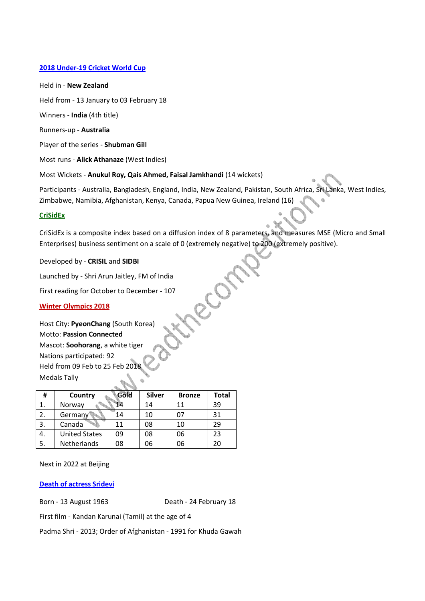#### **2018 Under-19 Cricket World Cup**

#### Held in - **New Zealand**

Held from - 13 January to 03 February 18

Winners - **India** (4th title)

Runners-up - **Australia**

Player of the series - **Shubman Gill**

Most runs - **Alick Athanaze** (West Indies)

Most Wickets - **Anukul Roy, Qais Ahmed, Faisal Jamkhandi** (14 wickets)

Participants - Australia, Bangladesh, England, India, New Zealand, Pakistan, South Africa, Sri Lanka, West Indies, Zimbabwe, Namibia, Afghanistan, Kenya, Canada, Papua New Guinea, Ireland (16)

#### **CriSidEx**

CriSidEx is a composite index based on a diffusion index of 8 parameters, and measures MSE (Micro and Small Enterprises) business sentiment on a scale of 0 (extremely negative) to 200 (extremely positive).

COS

Developed by - **CRISIL** and **SIDBI**

Launched by - Shri Arun Jaitley, FM of India

First reading for October to December - 107

#### **Winter Olympics 2018**

Host City: **PyeonChang** (South Korea) Motto: **Passion Connected** Mascot: **Soohorang**, a white tiger Nations participated: 92 Held from 09 Feb to 25 Feb 20 Medals Tally

| Ħ  | Country              | Gold | <b>Silver</b> | <b>Bronze</b> | Total |  |
|----|----------------------|------|---------------|---------------|-------|--|
| 1. | Norway               |      | 14            | 11            | 39    |  |
| 2. | Germany              | 14   | 10            | 07            | 31    |  |
| 3. | Canada               | 11   | 08            | 10            | 29    |  |
| 4. | <b>United States</b> | 09   | 08            | 06            | 23    |  |
| 5. | <b>Netherlands</b>   | 08   | 06            | 06            | 20    |  |

Next in 2022 at Beijing

#### **Death of actress Sridevi**

Born - 13 August 1963 Death - 24 February 18

First film - Kandan Karunai (Tamil) at the age of 4

Padma Shri - 2013; Order of Afghanistan - 1991 for Khuda Gawah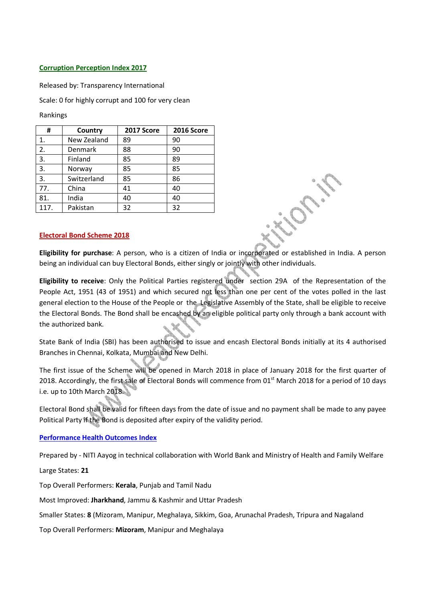#### **Corruption Perception Index 2017**

Released by: Transparency International

Scale: 0 for highly corrupt and 100 for very clean

Rankings

| #    | Country     | 2017 Score | <b>2016 Score</b> |
|------|-------------|------------|-------------------|
| 1.   | New Zealand | 89         | 90                |
| 2.   | Denmark     | 88         | 90                |
| 3.   | Finland     | 85         | 89                |
| 3.   | Norway      | 85         | 85                |
| 3.   | Switzerland | 85         | 86                |
| 77.  | China       | 41         | 40                |
| 81.  | India       | 40         | 40                |
| 117. | Pakistan    | 32         | 32                |

#### **Electoral Bond Scheme 2018**

**Eligibility for purchase**: A person, who is a citizen of India or incorporated or established in India. A person being an individual can buy Electoral Bonds, either singly or jointly with other individuals.

**Eligibility to receive**: Only the Political Parties registered under section 29A of the Representation of the People Act, 1951 (43 of 1951) and which secured not less than one per cent of the votes polled in the last general election to the House of the People or the Legislative Assembly of the State, shall be eligible to receive the Electoral Bonds. The Bond shall be encashed by an eligible political party only through a bank account with the authorized bank.

State Bank of India (SBI) has been authorised to issue and encash Electoral Bonds initially at its 4 authorised Branches in Chennai, Kolkata, Mumbai and New Delhi.

The first issue of the Scheme will be opened in March 2018 in place of January 2018 for the first quarter of 2018. Accordingly, the first sale of Electoral Bonds will commence from 01<sup>st</sup> March 2018 for a period of 10 days i.e. up to 10th March 2018.

Electoral Bond shall be valid for fifteen days from the date of issue and no payment shall be made to any payee Political Party if the Bond is deposited after expiry of the validity period.

#### **Performance Health Outcomes Index**

Prepared by - NITI Aayog in technical collaboration with World Bank and Ministry of Health and Family Welfare

Large States: **21**

Top Overall Performers: **Kerala**, Punjab and Tamil Nadu

Most Improved: **Jharkhand**, Jammu & Kashmir and Uttar Pradesh

Smaller States: **8** (Mizoram, Manipur, Meghalaya, Sikkim, Goa, Arunachal Pradesh, Tripura and Nagaland

Top Overall Performers: **Mizoram**, Manipur and Meghalaya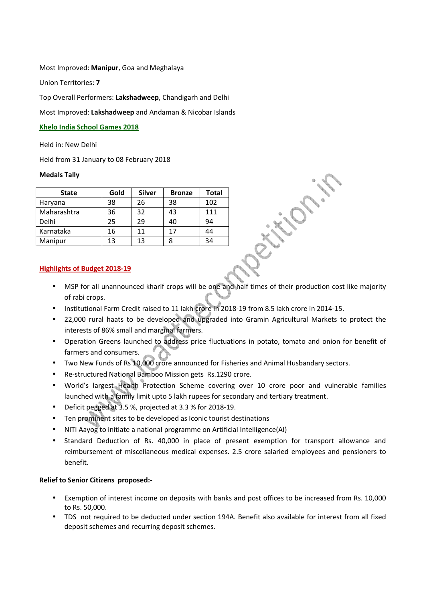#### Most Improved: **Manipur**, Goa and Meghalaya

Union Territories: **7**

Top Overall Performers: **Lakshadweep**, Chandigarh and Delhi

Most Improved: **Lakshadweep** and Andaman & Nicobar Islands

#### **Khelo India School Games 2018**

Held in: New Delhi

Held from 31 January to 08 February 2018

## **Medals Tally**

| <b>State</b> | Gold | <b>Silver</b> | <b>Bronze</b> | Total |
|--------------|------|---------------|---------------|-------|
| Haryana      | 38   | 26            | 38            | 102   |
| Maharashtra  | 36   | 32            | 43            | 111   |
| Delhi        | 25   | 29            | 40            | 94    |
| Karnataka    | 16   | 11            | 17            | 44    |
| Manipur      | 13   | 13            |               | 34    |

## **Highlights of Budget 2018-19**

- MSP for all unannounced kharif crops will be one and half times of their production cost like majority of rabi crops.
- Institutional Farm Credit raised to 11 lakh crore in 2018-19 from 8.5 lakh crore in 2014-15.
- 22,000 rural haats to be developed and upgraded into Gramin Agricultural Markets to protect the interests of 86% small and marginal farmers.
- Operation Greens launched to address price fluctuations in potato, tomato and onion for benefit of farmers and consumers.
- Two New Funds of Rs 10,000 crore announced for Fisheries and Animal Husbandary sectors.
- Re-structured National Bamboo Mission gets Rs.1290 crore.
- World's largest Health Protection Scheme covering over 10 crore poor and vulnerable families launched with a family limit upto 5 lakh rupees for secondary and tertiary treatment.
- Deficit pegged at 3.5 %, projected at 3.3 % for 2018-19.
- Ten prominent sites to be developed as Iconic tourist destinations
- NITI Aayog to initiate a national programme on Artificial Intelligence(AI)
- Standard Deduction of Rs. 40,000 in place of present exemption for transport allowance and reimbursement of miscellaneous medical expenses. 2.5 crore salaried employees and pensioners to benefit.

## **Relief to Senior Citizens proposed:-**

- Exemption of interest income on deposits with banks and post offices to be increased from Rs. 10,000 to Rs. 50,000.
- TDS not required to be deducted under section 194A. Benefit also available for interest from all fixed deposit schemes and recurring deposit schemes.